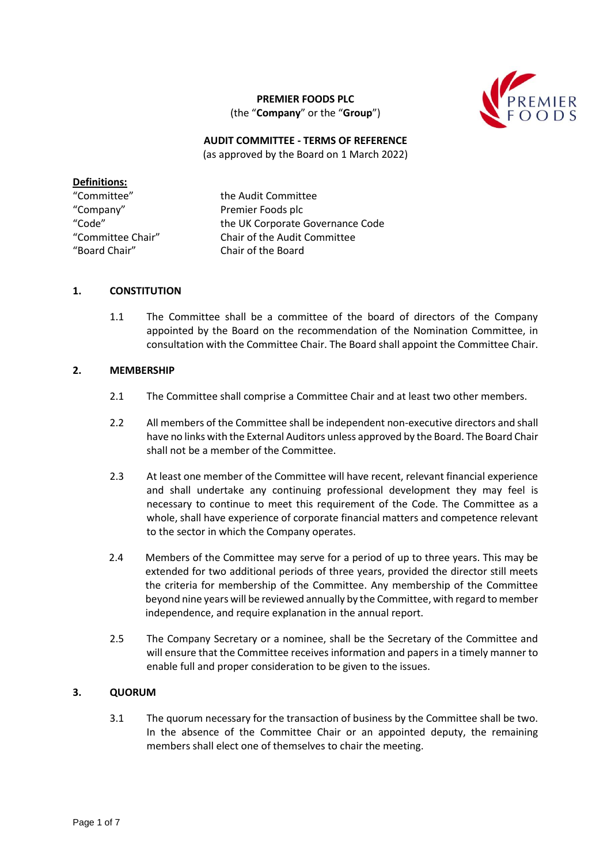

# **PREMIER FOODS PLC** (the "**Company**" or the "**Group**")

#### **AUDIT COMMITTEE - TERMS OF REFERENCE** (as approved by the Board on 1 March 2022)

## **Definitions:**

"Company" Premier Foods plc "Board Chair" Chair of the Board

"Committee" the Audit Committee "Code" the UK Corporate Governance Code "Committee Chair" Chair of the Audit Committee

### **1. CONSTITUTION**

1.1 The Committee shall be a committee of the board of directors of the Company appointed by the Board on the recommendation of the Nomination Committee, in consultation with the Committee Chair. The Board shall appoint the Committee Chair.

## **2. MEMBERSHIP**

- 2.1 The Committee shall comprise a Committee Chair and at least two other members.
- 2.2 All members of the Committee shall be independent non-executive directors and shall have no links with the External Auditors unless approved by the Board. The Board Chair shall not be a member of the Committee.
- 2.3 At least one member of the Committee will have recent, relevant financial experience and shall undertake any continuing professional development they may feel is necessary to continue to meet this requirement of the Code. The Committee as a whole, shall have experience of corporate financial matters and competence relevant to the sector in which the Company operates.
- 2.4 Members of the Committee may serve for a period of up to three years. This may be extended for two additional periods of three years, provided the director still meets the criteria for membership of the Committee. Any membership of the Committee beyond nine years will be reviewed annually by the Committee, with regard to member independence, and require explanation in the annual report.
- 2.5 The Company Secretary or a nominee, shall be the Secretary of the Committee and will ensure that the Committee receives information and papers in a timely manner to enable full and proper consideration to be given to the issues.

# **3. QUORUM**

3.1 The quorum necessary for the transaction of business by the Committee shall be two. In the absence of the Committee Chair or an appointed deputy, the remaining members shall elect one of themselves to chair the meeting.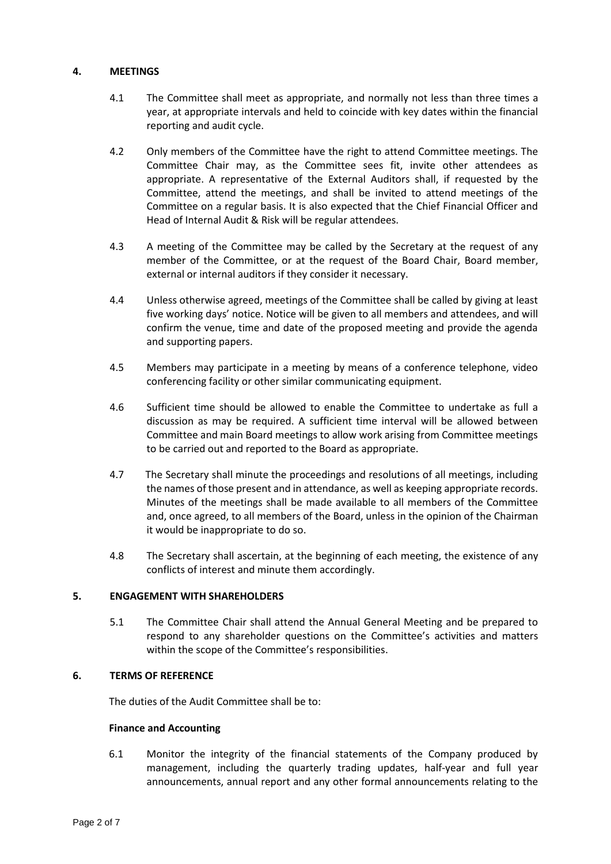## **4. MEETINGS**

- 4.1 The Committee shall meet as appropriate, and normally not less than three times a year, at appropriate intervals and held to coincide with key dates within the financial reporting and audit cycle.
- 4.2 Only members of the Committee have the right to attend Committee meetings. The Committee Chair may, as the Committee sees fit, invite other attendees as appropriate. A representative of the External Auditors shall, if requested by the Committee, attend the meetings, and shall be invited to attend meetings of the Committee on a regular basis. It is also expected that the Chief Financial Officer and Head of Internal Audit & Risk will be regular attendees.
- 4.3 A meeting of the Committee may be called by the Secretary at the request of any member of the Committee, or at the request of the Board Chair, Board member, external or internal auditors if they consider it necessary.
- 4.4 Unless otherwise agreed, meetings of the Committee shall be called by giving at least five working days' notice. Notice will be given to all members and attendees, and will confirm the venue, time and date of the proposed meeting and provide the agenda and supporting papers.
- 4.5 Members may participate in a meeting by means of a conference telephone, video conferencing facility or other similar communicating equipment.
- 4.6 Sufficient time should be allowed to enable the Committee to undertake as full a discussion as may be required. A sufficient time interval will be allowed between Committee and main Board meetings to allow work arising from Committee meetings to be carried out and reported to the Board as appropriate.
- 4.7 The Secretary shall minute the proceedings and resolutions of all meetings, including the names of those present and in attendance, as well as keeping appropriate records. Minutes of the meetings shall be made available to all members of the Committee and, once agreed, to all members of the Board, unless in the opinion of the Chairman it would be inappropriate to do so.
- 4.8 The Secretary shall ascertain, at the beginning of each meeting, the existence of any conflicts of interest and minute them accordingly.

### **5. ENGAGEMENT WITH SHAREHOLDERS**

5.1 The Committee Chair shall attend the Annual General Meeting and be prepared to respond to any shareholder questions on the Committee's activities and matters within the scope of the Committee's responsibilities.

# **6. TERMS OF REFERENCE**

The duties of the Audit Committee shall be to:

#### **Finance and Accounting**

6.1 Monitor the integrity of the financial statements of the Company produced by management, including the quarterly trading updates, half-year and full year announcements, annual report and any other formal announcements relating to the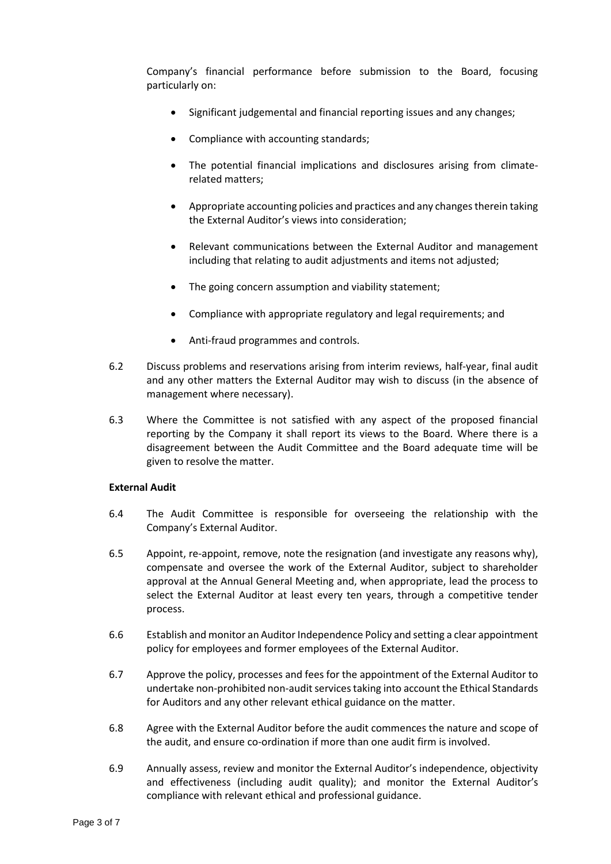Company's financial performance before submission to the Board, focusing particularly on:

- Significant judgemental and financial reporting issues and any changes;
- Compliance with accounting standards;
- The potential financial implications and disclosures arising from climaterelated matters;
- Appropriate accounting policies and practices and any changes therein taking the External Auditor's views into consideration;
- Relevant communications between the External Auditor and management including that relating to audit adjustments and items not adjusted;
- The going concern assumption and viability statement;
- Compliance with appropriate regulatory and legal requirements; and
- Anti-fraud programmes and controls.
- 6.2 Discuss problems and reservations arising from interim reviews, half-year, final audit and any other matters the External Auditor may wish to discuss (in the absence of management where necessary).
- 6.3 Where the Committee is not satisfied with any aspect of the proposed financial reporting by the Company it shall report its views to the Board. Where there is a disagreement between the Audit Committee and the Board adequate time will be given to resolve the matter.

### **External Audit**

- 6.4 The Audit Committee is responsible for overseeing the relationship with the Company's External Auditor.
- 6.5 Appoint, re-appoint, remove, note the resignation (and investigate any reasons why), compensate and oversee the work of the External Auditor, subject to shareholder approval at the Annual General Meeting and, when appropriate, lead the process to select the External Auditor at least every ten years, through a competitive tender process.
- 6.6 Establish and monitor an Auditor Independence Policy and setting a clear appointment policy for employees and former employees of the External Auditor.
- 6.7 Approve the policy, processes and fees for the appointment of the External Auditor to undertake non-prohibited non-audit services taking into account the Ethical Standards for Auditors and any other relevant ethical guidance on the matter.
- 6.8 Agree with the External Auditor before the audit commences the nature and scope of the audit, and ensure co-ordination if more than one audit firm is involved.
- 6.9 Annually assess, review and monitor the External Auditor's independence, objectivity and effectiveness (including audit quality); and monitor the External Auditor's compliance with relevant ethical and professional guidance.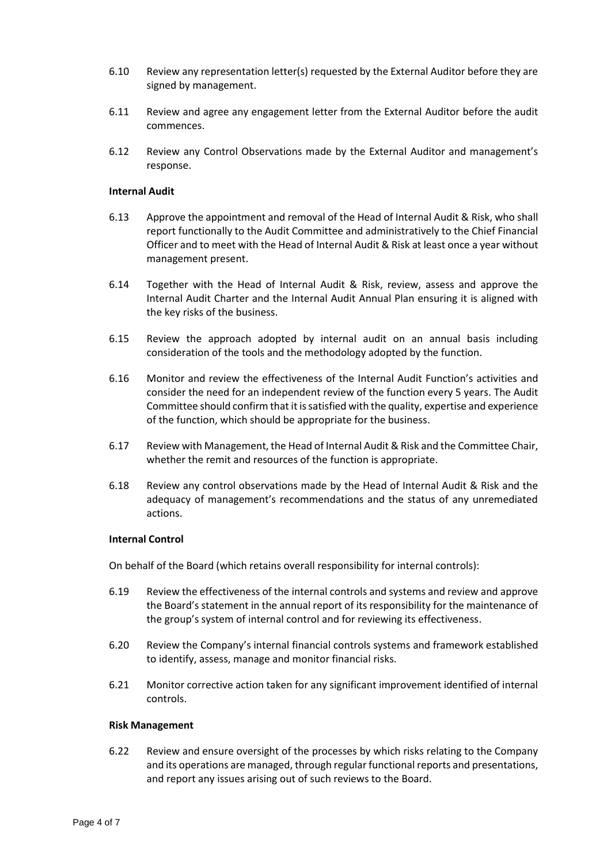- 6.10 Review any representation letter(s) requested by the External Auditor before they are signed by management.
- 6.11 Review and agree any engagement letter from the External Auditor before the audit commences.
- 6.12 Review any Control Observations made by the External Auditor and management's response.

#### **Internal Audit**

- 6.13 Approve the appointment and removal of the Head of Internal Audit & Risk, who shall report functionally to the Audit Committee and administratively to the Chief Financial Officer and to meet with the Head of Internal Audit & Risk at least once a year without management present.
- 6.14 Together with the Head of Internal Audit & Risk, review, assess and approve the Internal Audit Charter and the Internal Audit Annual Plan ensuring it is aligned with the key risks of the business.
- 6.15 Review the approach adopted by internal audit on an annual basis including consideration of the tools and the methodology adopted by the function.
- 6.16 Monitor and review the effectiveness of the Internal Audit Function's activities and consider the need for an independent review of the function every 5 years. The Audit Committee should confirm that it is satisfied with the quality, expertise and experience of the function, which should be appropriate for the business.
- 6.17 Review with Management, the Head of Internal Audit & Risk and the Committee Chair, whether the remit and resources of the function is appropriate.
- 6.18 Review any control observations made by the Head of Internal Audit & Risk and the adequacy of management's recommendations and the status of any unremediated actions.

#### **Internal Control**

On behalf of the Board (which retains overall responsibility for internal controls):

- 6.19 Review the effectiveness of the internal controls and systems and review and approve the Board's statement in the annual report of its responsibility for the maintenance of the group's system of internal control and for reviewing its effectiveness.
- 6.20 Review the Company's internal financial controls systems and framework established to identify, assess, manage and monitor financial risks.
- 6.21 Monitor corrective action taken for any significant improvement identified of internal controls.

#### **Risk Management**

6.22 Review and ensure oversight of the processes by which risks relating to the Company and its operations are managed, through regular functional reports and presentations, and report any issues arising out of such reviews to the Board.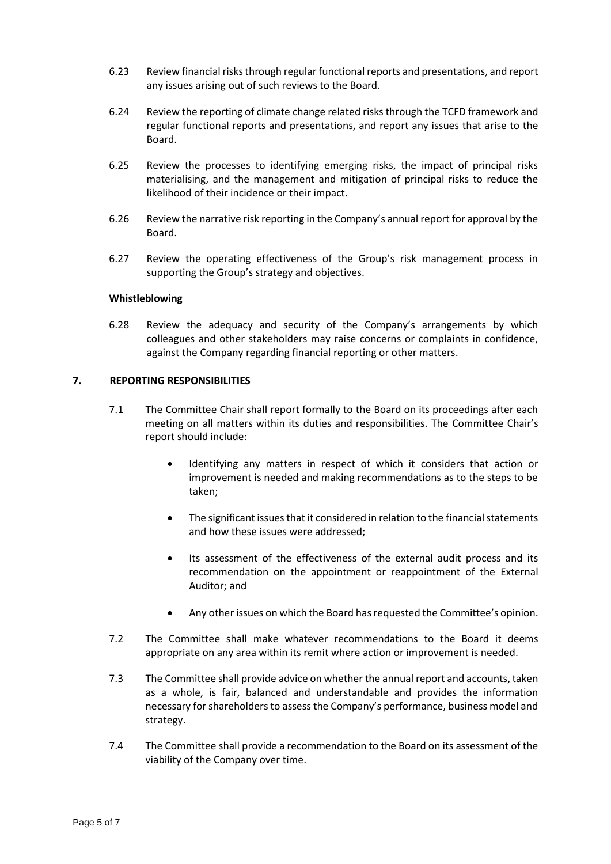- 6.23 Review financial risks through regular functional reports and presentations, and report any issues arising out of such reviews to the Board.
- 6.24 Review the reporting of climate change related risks through the TCFD framework and regular functional reports and presentations, and report any issues that arise to the Board.
- 6.25 Review the processes to identifying emerging risks, the impact of principal risks materialising, and the management and mitigation of principal risks to reduce the likelihood of their incidence or their impact.
- 6.26 Review the narrative risk reporting in the Company's annual report for approval by the Board.
- 6.27 Review the operating effectiveness of the Group's risk management process in supporting the Group's strategy and objectives.

#### **Whistleblowing**

6.28 Review the adequacy and security of the Company's arrangements by which colleagues and other stakeholders may raise concerns or complaints in confidence, against the Company regarding financial reporting or other matters.

### **7. REPORTING RESPONSIBILITIES**

- 7.1 The Committee Chair shall report formally to the Board on its proceedings after each meeting on all matters within its duties and responsibilities. The Committee Chair's report should include:
	- Identifying any matters in respect of which it considers that action or improvement is needed and making recommendations as to the steps to be taken;
	- The significant issues that it considered in relation to the financial statements and how these issues were addressed;
	- Its assessment of the effectiveness of the external audit process and its recommendation on the appointment or reappointment of the External Auditor; and
	- Any other issues on which the Board has requested the Committee's opinion.
- 7.2 The Committee shall make whatever recommendations to the Board it deems appropriate on any area within its remit where action or improvement is needed.
- 7.3 The Committee shall provide advice on whether the annual report and accounts, taken as a whole, is fair, balanced and understandable and provides the information necessary for shareholders to assess the Company's performance, business model and strategy.
- 7.4 The Committee shall provide a recommendation to the Board on its assessment of the viability of the Company over time.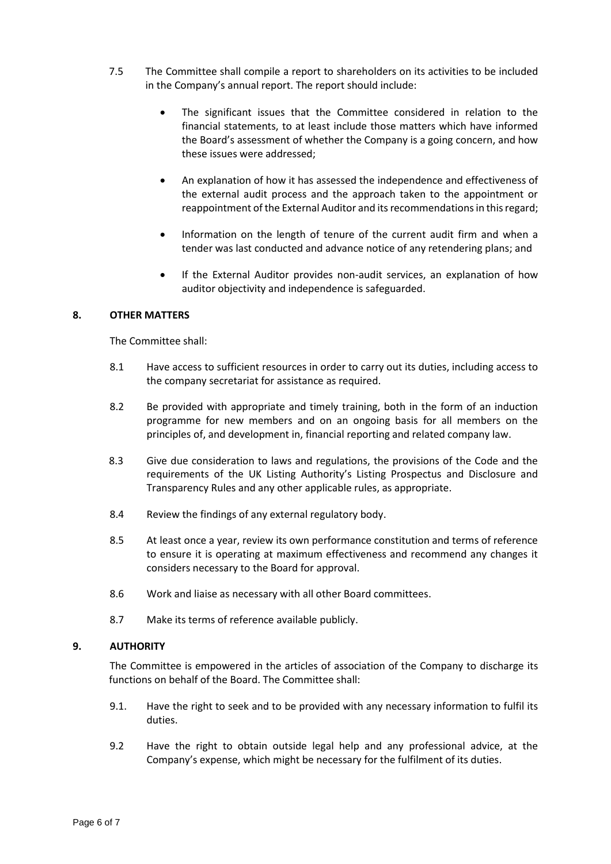- 7.5 The Committee shall compile a report to shareholders on its activities to be included in the Company's annual report. The report should include:
	- The significant issues that the Committee considered in relation to the financial statements, to at least include those matters which have informed the Board's assessment of whether the Company is a going concern, and how these issues were addressed;
	- An explanation of how it has assessed the independence and effectiveness of the external audit process and the approach taken to the appointment or reappointment of the External Auditor and its recommendations in this regard;
	- Information on the length of tenure of the current audit firm and when a tender was last conducted and advance notice of any retendering plans; and
	- If the External Auditor provides non-audit services, an explanation of how auditor objectivity and independence is safeguarded.

### **8. OTHER MATTERS**

The Committee shall:

- 8.1 Have access to sufficient resources in order to carry out its duties, including access to the company secretariat for assistance as required.
- 8.2 Be provided with appropriate and timely training, both in the form of an induction programme for new members and on an ongoing basis for all members on the principles of, and development in, financial reporting and related company law.
- 8.3 Give due consideration to laws and regulations, the provisions of the Code and the requirements of the UK Listing Authority's Listing Prospectus and Disclosure and Transparency Rules and any other applicable rules, as appropriate.
- 8.4 Review the findings of any external regulatory body.
- 8.5 At least once a year, review its own performance constitution and terms of reference to ensure it is operating at maximum effectiveness and recommend any changes it considers necessary to the Board for approval.
- 8.6 Work and liaise as necessary with all other Board committees.
- 8.7 Make its terms of reference available publicly.

### **9. AUTHORITY**

The Committee is empowered in the articles of association of the Company to discharge its functions on behalf of the Board. The Committee shall:

- 9.1. Have the right to seek and to be provided with any necessary information to fulfil its duties.
- 9.2 Have the right to obtain outside legal help and any professional advice, at the Company's expense, which might be necessary for the fulfilment of its duties.